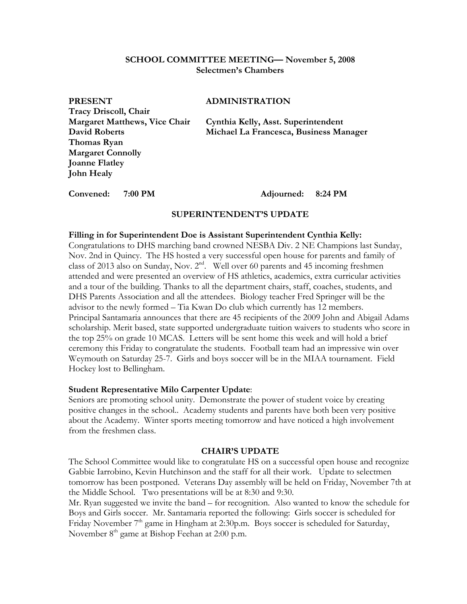## **SCHOOL COMMITTEE MEETING— November 5, 2008 Selectmen's Chambers**

| <b>PRESENT</b>                       | <b>ADMINIS</b> |
|--------------------------------------|----------------|
| Tracy Driscoll, Chair                |                |
| <b>Margaret Matthews, Vice Chair</b> | Cynthia Ke     |
| <b>David Roberts</b>                 | Michael La     |
| Thomas Ryan                          |                |
| <b>Margaret Connolly</b>             |                |
| <b>Joanne Flatley</b>                |                |
| <b>John Healy</b>                    |                |

## **TRATION**

**Margaret Margaret Elly, Asst. Superintendent David Roberts Michael La Francesca, Business Manager** 

### **Convened: 7:00 PM Adjourned: 8:24 PM**

### **SUPERINTENDENT'S UPDATE**

### **Filling in for Superintendent Doe is Assistant Superintendent Cynthia Kelly:**

Congratulations to DHS marching band crowned NESBA Div. 2 NE Champions last Sunday, Nov. 2nd in Quincy. The HS hosted a very successful open house for parents and family of class of 2013 also on Sunday, Nov. 2nd. Well over 60 parents and 45 incoming freshmen attended and were presented an overview of HS athletics, academics, extra curricular activities and a tour of the building. Thanks to all the department chairs, staff, coaches, students, and DHS Parents Association and all the attendees. Biology teacher Fred Springer will be the advisor to the newly formed – Tia Kwan Do club which currently has 12 members. Principal Santamaria announces that there are 45 recipients of the 2009 John and Abigail Adams scholarship. Merit based, state supported undergraduate tuition waivers to students who score in the top 25% on grade 10 MCAS. Letters will be sent home this week and will hold a brief ceremony this Friday to congratulate the students. Football team had an impressive win over Weymouth on Saturday 25-7. Girls and boys soccer will be in the MIAA tournament. Field Hockey lost to Bellingham.

## **Student Representative Milo Carpenter Update**:

Seniors are promoting school unity. Demonstrate the power of student voice by creating positive changes in the school.. Academy students and parents have both been very positive about the Academy. Winter sports meeting tomorrow and have noticed a high involvement from the freshmen class.

#### **CHAIR'S UPDATE**

The School Committee would like to congratulate HS on a successful open house and recognize Gabbie Iarrobino, Kevin Hutchinson and the staff for all their work. Update to selectmen tomorrow has been postponed. Veterans Day assembly will be held on Friday, November 7th at the Middle School. Two presentations will be at 8:30 and 9:30.

Mr. Ryan suggested we invite the band – for recognition. Also wanted to know the schedule for Boys and Girls soccer. Mr. Santamaria reported the following: Girls soccer is scheduled for Friday November 7<sup>th</sup> game in Hingham at 2:30p.m. Boys soccer is scheduled for Saturday, November 8<sup>th</sup> game at Bishop Feehan at 2:00 p.m.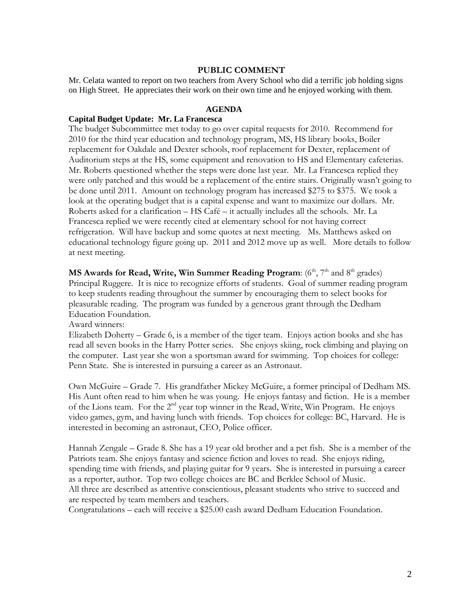## **PUBLIC COMMENT**

Mr. Celata wanted to report on two teachers from Avery School who did a terrific job holding signs on High Street. He appreciates their work on their own time and he enjoyed working with them.

### **AGENDA**

### **Capital Budget Update: Mr. La Francesca**

The budget Subcommittee met today to go over capital requests for 2010. Recommend for 2010 for the third year education and technology program, MS, HS library books, Boiler replacement for Oakdale and Dexter schools, roof replacement for Dexter, replacement of Auditorium steps at the HS, some equipment and renovation to HS and Elementary cafeterias. Mr. Roberts questioned whether the steps were done last year. Mr. La Francesca replied they were only patched and this would be a replacement of the entire stairs. Originally wasn't going to be done until 2011. Amount on technology program has increased \$275 to \$375. We took a look at the operating budget that is a capital expense and want to maximize our dollars. Mr. Roberts asked for a clarification – HS Café – it actually includes all the schools. Mr. La Francesca replied we were recently cited at elementary school for not having correct refrigeration. Will have backup and some quotes at next meeting. Ms. Matthews asked on educational technology figure going up. 2011 and 2012 move up as well. More details to follow at next meeting.

**MS Awards for Read, Write, Win Summer Reading Program:** (6<sup>th</sup>, 7<sup>th</sup> and 8<sup>th</sup> grades) Principal Ruggere. It is nice to recognize efforts of students. Goal of summer reading program to keep students reading throughout the summer by encouraging them to select books for pleasurable reading. The program was funded by a generous grant through the Dedham Education Foundation.

Award winners:

Elizabeth Doherty – Grade 6, is a member of the tiger team. Enjoys action books and she has read all seven books in the Harry Potter series. She enjoys skiing, rock climbing and playing on the computer. Last year she won a sportsman award for swimming. Top choices for college: Penn State. She is interested in pursuing a career as an Astronaut.

Own McGuire – Grade 7. His grandfather Mickey McGuire, a former principal of Dedham MS. His Aunt often read to him when he was young. He enjoys fantasy and fiction. He is a member of the Lions team. For the 2nd year top winner in the Read, Write, Win Program. He enjoys video games, gym, and having lunch with friends. Top choices for college: BC, Harvard. He is interested in becoming an astronaut, CEO, Police officer.

Hannah Zengale – Grade 8. She has a 19 year old brother and a pet fish. She is a member of the Patriots team. She enjoys fantasy and science fiction and loves to read. She enjoys riding, spending time with friends, and playing guitar for 9 years. She is interested in pursuing a career as a reporter, author. Top two college choices are BC and Berklee School of Music. All three are described as attentive conscientious, pleasant students who strive to succeed and are respected by team members and teachers.

Congratulations – each will receive a \$25.00 cash award Dedham Education Foundation.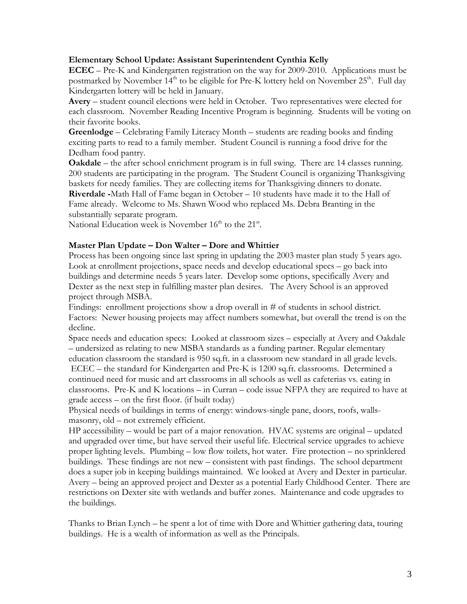## **Elementary School Update: Assistant Superintendent Cynthia Kelly**

**ECEC** – Pre-K and Kindergarten registration on the way for 2009-2010. Applications must be postmarked by November  $14<sup>th</sup>$  to be eligible for Pre-K lottery held on November  $25<sup>th</sup>$ . Full day Kindergarten lottery will be held in January.

**Avery** – student council elections were held in October. Two representatives were elected for each classroom. November Reading Incentive Program is beginning. Students will be voting on their favorite books.

**Greenlodge** – Celebrating Family Literacy Month – students are reading books and finding exciting parts to read to a family member. Student Council is running a food drive for the Dedham food pantry.

**Oakdale** – the after school enrichment program is in full swing. There are 14 classes running. 200 students are participating in the program. The Student Council is organizing Thanksgiving baskets for needy families. They are collecting items for Thanksgiving dinners to donate. **Riverdale -**Math Hall of Fame began in October – 10 students have made it to the Hall of Fame already. Welcome to Ms. Shawn Wood who replaced Ms. Debra Branting in the substantially separate program.

National Education week is November  $16<sup>th</sup>$  to the  $21<sup>st</sup>$ .

# **Master Plan Update – Don Walter – Dore and Whittier**

Process has been ongoing since last spring in updating the 2003 master plan study 5 years ago. Look at enrollment projections, space needs and develop educational specs – go back into buildings and determine needs 5 years later. Develop some options, specifically Avery and Dexter as the next step in fulfilling master plan desires. The Avery School is an approved project through MSBA.

Findings: enrollment projections show a drop overall in # of students in school district. Factors: Newer housing projects may affect numbers somewhat, but overall the trend is on the decline.

Space needs and education specs: Looked at classroom sizes – especially at Avery and Oakdale – undersized as relating to new MSBA standards as a funding partner. Regular elementary education classroom the standard is 950 sq.ft. in a classroom new standard in all grade levels. ECEC – the standard for Kindergarten and Pre-K is 1200 sq.ft. classrooms. Determined a continued need for music and art classrooms in all schools as well as cafeterias vs. eating in classrooms. Pre-K and K locations – in Curran – code issue NFPA they are required to have at grade access – on the first floor. (if built today)

Physical needs of buildings in terms of energy: windows-single pane, doors, roofs, wallsmasonry, old – not extremely efficient.

HP accessibility – would be part of a major renovation. HVAC systems are original – updated and upgraded over time, but have served their useful life. Electrical service upgrades to achieve proper lighting levels. Plumbing – low flow toilets, hot water. Fire protection – no sprinklered buildings. These findings are not new – consistent with past findings. The school department does a super job in keeping buildings maintained. We looked at Avery and Dexter in particular. Avery – being an approved project and Dexter as a potential Early Childhood Center. There are restrictions on Dexter site with wetlands and buffer zones. Maintenance and code upgrades to the buildings.

Thanks to Brian Lynch – he spent a lot of time with Dore and Whittier gathering data, touring buildings. He is a wealth of information as well as the Principals.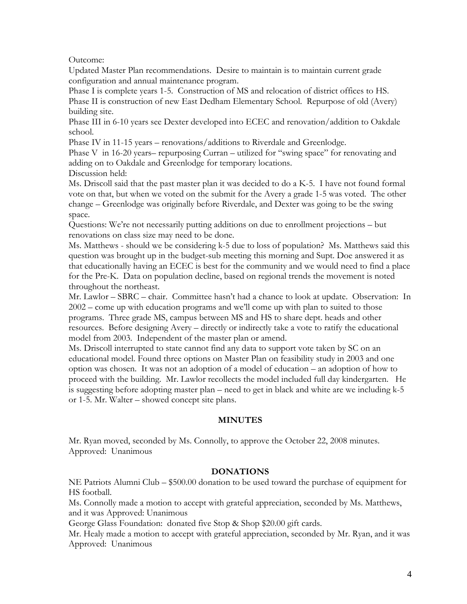Outcome:

Updated Master Plan recommendations. Desire to maintain is to maintain current grade configuration and annual maintenance program.

Phase I is complete years 1-5. Construction of MS and relocation of district offices to HS. Phase II is construction of new East Dedham Elementary School. Repurpose of old (Avery) building site.

Phase III in 6-10 years see Dexter developed into ECEC and renovation/addition to Oakdale school.

Phase IV in 11-15 years – renovations/additions to Riverdale and Greenlodge.

Phase V in 16-20 years– repurposing Curran – utilized for "swing space" for renovating and adding on to Oakdale and Greenlodge for temporary locations.

Discussion held:

Ms. Driscoll said that the past master plan it was decided to do a K-5. I have not found formal vote on that, but when we voted on the submit for the Avery a grade 1-5 was voted. The other change – Greenlodge was originally before Riverdale, and Dexter was going to be the swing space.

Questions: We're not necessarily putting additions on due to enrollment projections – but renovations on class size may need to be done.

Ms. Matthews - should we be considering k-5 due to loss of population? Ms. Matthews said this question was brought up in the budget-sub meeting this morning and Supt. Doe answered it as that educationally having an ECEC is best for the community and we would need to find a place for the Pre-K. Data on population decline, based on regional trends the movement is noted throughout the northeast.

Mr. Lawlor – SBRC – chair. Committee hasn't had a chance to look at update. Observation: In 2002 – come up with education programs and we'll come up with plan to suited to those programs. Three grade MS, campus between MS and HS to share dept. heads and other resources. Before designing Avery – directly or indirectly take a vote to ratify the educational model from 2003. Independent of the master plan or amend.

Ms. Driscoll interrupted to state cannot find any data to support vote taken by SC on an educational model. Found three options on Master Plan on feasibility study in 2003 and one option was chosen. It was not an adoption of a model of education – an adoption of how to proceed with the building. Mr. Lawlor recollects the model included full day kindergarten. He is suggesting before adopting master plan – need to get in black and white are we including k-5 or 1-5. Mr. Walter – showed concept site plans.

## **MINUTES**

Mr. Ryan moved, seconded by Ms. Connolly, to approve the October 22, 2008 minutes. Approved: Unanimous

## **DONATIONS**

NE Patriots Alumni Club – \$500.00 donation to be used toward the purchase of equipment for HS football.

Ms. Connolly made a motion to accept with grateful appreciation, seconded by Ms. Matthews, and it was Approved: Unanimous

George Glass Foundation: donated five Stop & Shop \$20.00 gift cards.

Mr. Healy made a motion to accept with grateful appreciation, seconded by Mr. Ryan, and it was Approved: Unanimous